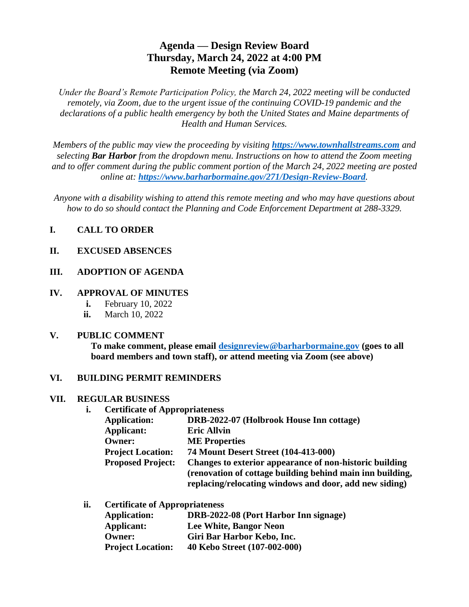# **Agenda — Design Review Board Thursday, March 24, 2022 at 4:00 PM Remote Meeting (via Zoom)**

*Under the Board's Remote Participation Policy, the March 24, 2022 meeting will be conducted remotely, via Zoom, due to the urgent issue of the continuing COVID-19 pandemic and the declarations of a public health emergency by both the United States and Maine departments of Health and Human Services.*

*Members of the public may view the proceeding by visiting [https://www.townhallstreams.com](https://www.townhallstreams.com/) and selecting Bar Harbor from the dropdown menu. Instructions on how to attend the Zoom meeting and to offer comment during the public comment portion of the March 24, 2022 meeting are posted online at: <https://www.barharbormaine.gov/271/Design-Review-Board>.*

*Anyone with a disability wishing to attend this remote meeting and who may have questions about how to do so should contact the Planning and Code Enforcement Department at 288-3329.*

# **I. CALL TO ORDER**

### **II. EXCUSED ABSENCES**

### **III. ADOPTION OF AGENDA**

### **IV. APPROVAL OF MINUTES**

- **i.** February 10, 2022
- **ii.** March 10, 2022

### **V. PUBLIC COMMENT**

**To make comment, please email [designreview@barharbormaine.gov](mailto:designreview@barharbormaine.gov) (goes to all board members and town staff), or attend meeting via Zoom (see above)**

### **VI. BUILDING PERMIT REMINDERS**

#### **VII. REGULAR BUSINESS**

**i. Certificate of Appropriateness**

| <b>Application:</b>      | DRB-2022-07 (Holbrook House Inn cottage)                  |
|--------------------------|-----------------------------------------------------------|
| Applicant:               | <b>Eric Allyin</b>                                        |
| <b>Owner:</b>            | <b>ME</b> Properties                                      |
| <b>Project Location:</b> | 74 Mount Desert Street (104-413-000)                      |
| <b>Proposed Project:</b> | Changes to exterior appearance of non-historic building   |
|                          | (renovation of cottage building behind main inn building, |
|                          | replacing/relocating windows and door, add new siding)    |

#### **ii. Certificate of Appropriateness**

| <b>Application:</b>      | DRB-2022-08 (Port Harbor Inn signage) |
|--------------------------|---------------------------------------|
| Applicant:               | Lee White, Bangor Neon                |
| Owner:                   | Giri Bar Harbor Kebo, Inc.            |
| <b>Project Location:</b> | 40 Kebo Street (107-002-000)          |